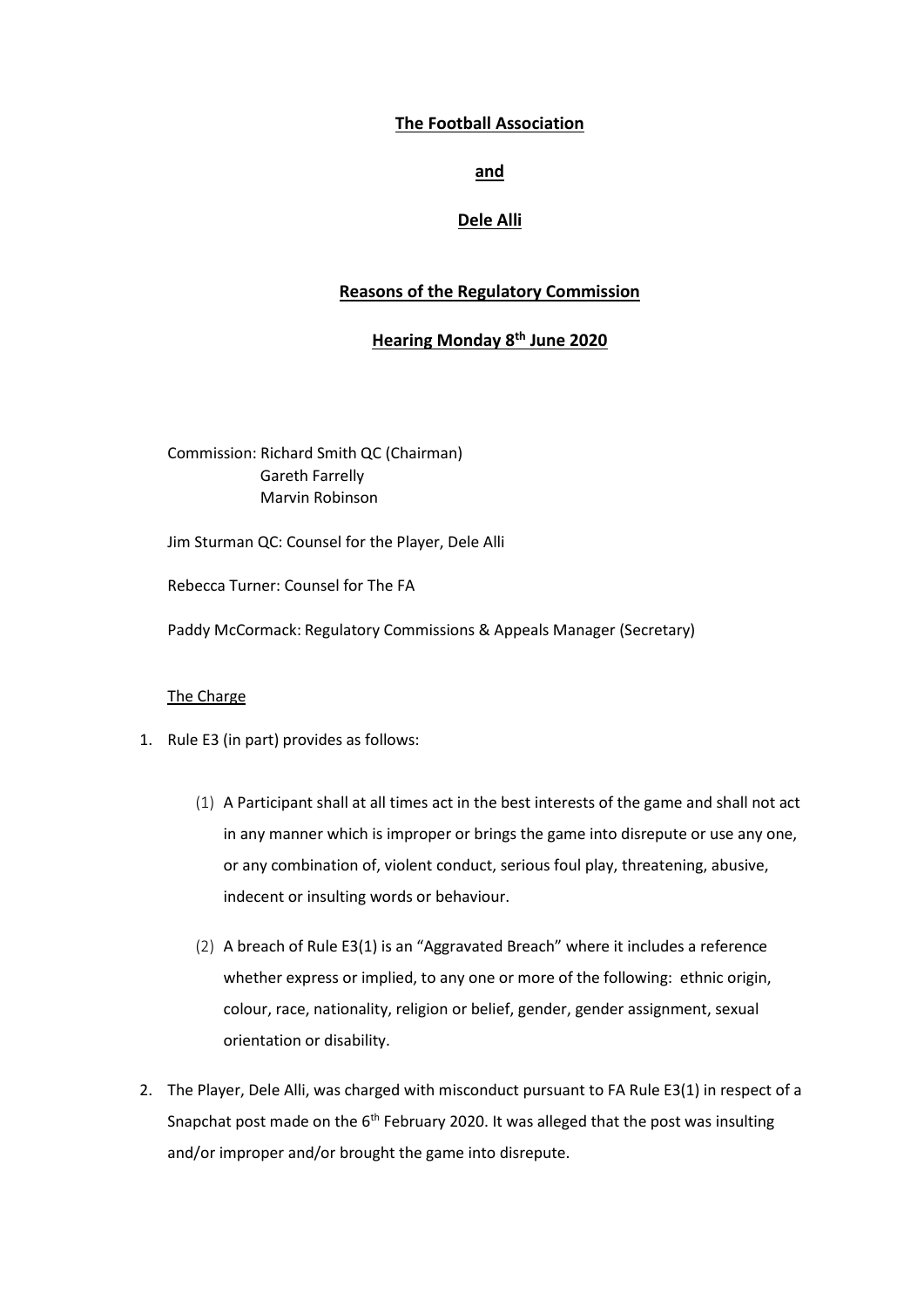## **The Football Association**

## **and**

# **Dele Alli**

# **Reasons of the Regulatory Commission**

# **Hearing Monday 8th June 2020**

Commission: Richard Smith QC (Chairman) Gareth Farrelly Marvin Robinson

Jim Sturman QC: Counsel for the Player, Dele Alli

Rebecca Turner: Counsel for The FA

Paddy McCormack: Regulatory Commissions & Appeals Manager (Secretary)

## The Charge

- 1. Rule E3 (in part) provides as follows:
	- (1) A Participant shall at all times act in the best interests of the game and shall not act in any manner which is improper or brings the game into disrepute or use any one, or any combination of, violent conduct, serious foul play, threatening, abusive, indecent or insulting words or behaviour.
	- (2) A breach of Rule E3(1) is an "Aggravated Breach" where it includes a reference whether express or implied, to any one or more of the following: ethnic origin, colour, race, nationality, religion or belief, gender, gender assignment, sexual orientation or disability.
- 2. The Player, Dele Alli, was charged with misconduct pursuant to FA Rule E3(1) in respect of a Snapchat post made on the  $6<sup>th</sup>$  February 2020. It was alleged that the post was insulting and/or improper and/or brought the game into disrepute.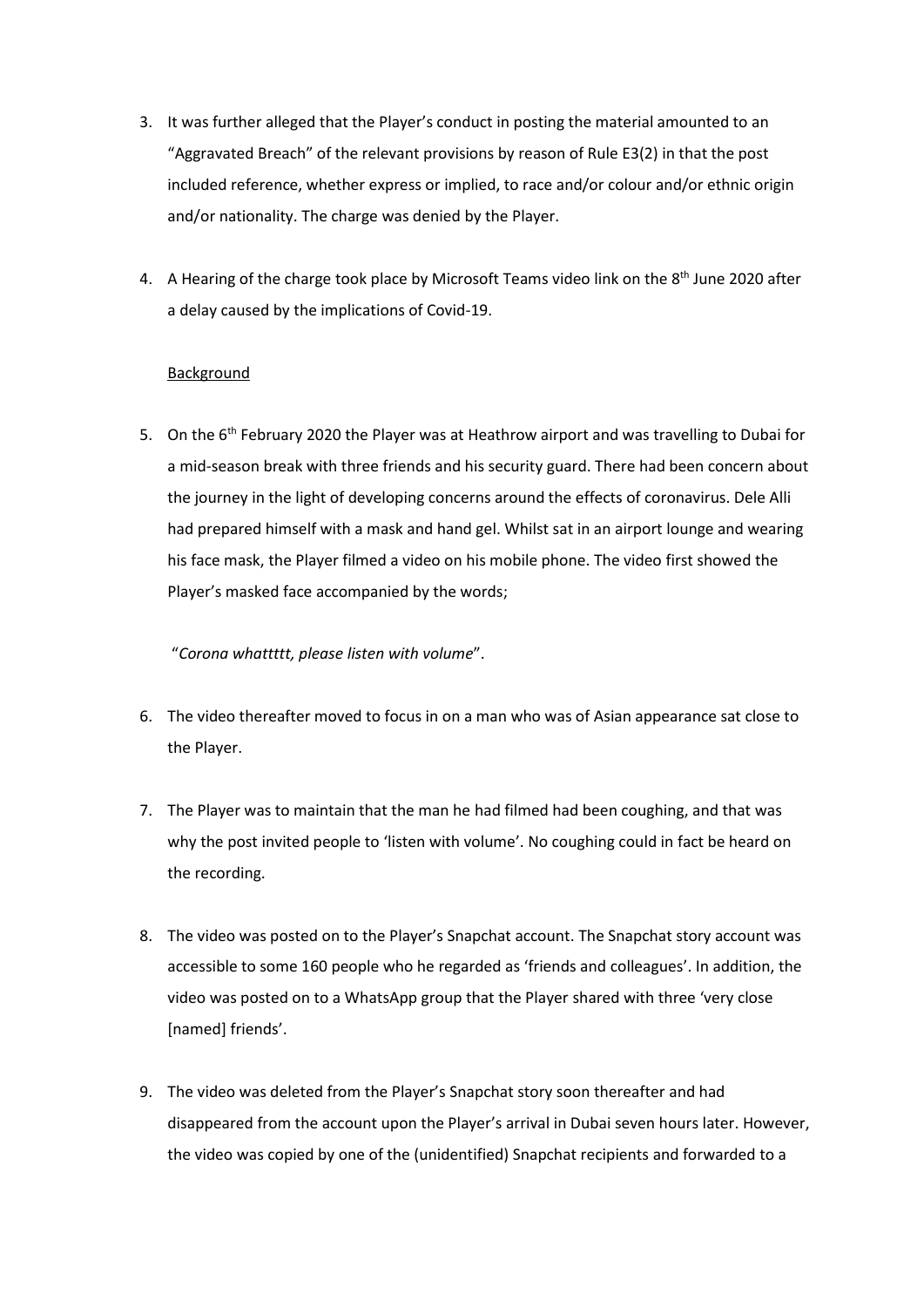- 3. It was further alleged that the Player's conduct in posting the material amounted to an "Aggravated Breach" of the relevant provisions by reason of Rule E3(2) in that the post included reference, whether express or implied, to race and/or colour and/or ethnic origin and/or nationality. The charge was denied by the Player.
- 4. A Hearing of the charge took place by Microsoft Teams video link on the 8<sup>th</sup> June 2020 after a delay caused by the implications of Covid-19.

## Background

5. On the 6<sup>th</sup> February 2020 the Player was at Heathrow airport and was travelling to Dubai for a mid-season break with three friends and his security guard. There had been concern about the journey in the light of developing concerns around the effects of coronavirus. Dele Alli had prepared himself with a mask and hand gel. Whilst sat in an airport lounge and wearing his face mask, the Player filmed a video on his mobile phone. The video first showed the Player's masked face accompanied by the words;

"*Corona whattttt, please listen with volume*".

- 6. The video thereafter moved to focus in on a man who was of Asian appearance sat close to the Player.
- 7. The Player was to maintain that the man he had filmed had been coughing, and that was why the post invited people to 'listen with volume'. No coughing could in fact be heard on the recording.
- 8. The video was posted on to the Player's Snapchat account. The Snapchat story account was accessible to some 160 people who he regarded as 'friends and colleagues'. In addition, the video was posted on to a WhatsApp group that the Player shared with three 'very close [named] friends'.
- 9. The video was deleted from the Player's Snapchat story soon thereafter and had disappeared from the account upon the Player's arrival in Dubai seven hours later. However, the video was copied by one of the (unidentified) Snapchat recipients and forwarded to a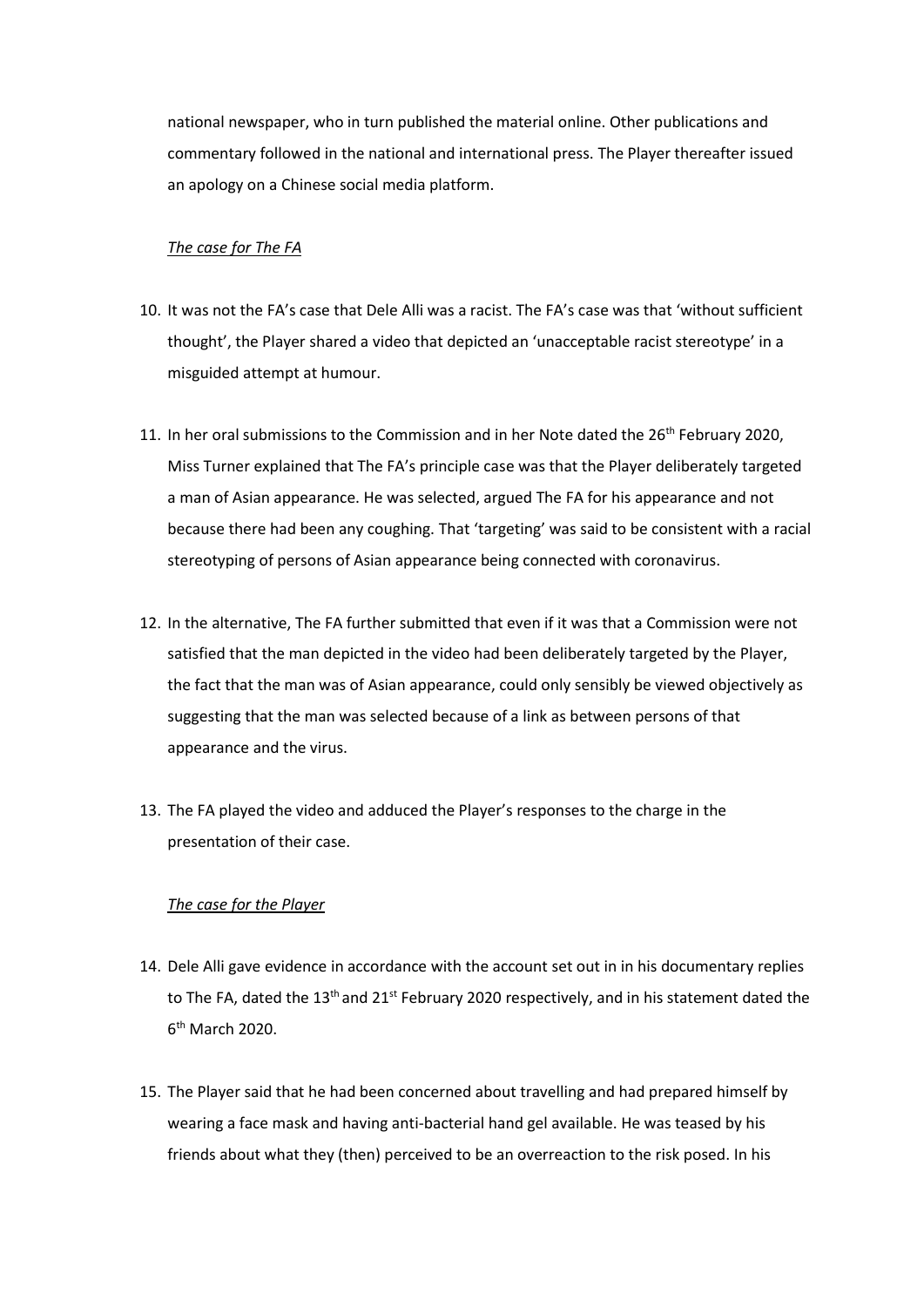national newspaper, who in turn published the material online. Other publications and commentary followed in the national and international press. The Player thereafter issued an apology on a Chinese social media platform.

#### *The case for The FA*

- 10. It was not the FA's case that Dele Alli was a racist. The FA's case was that 'without sufficient thought', the Player shared a video that depicted an 'unacceptable racist stereotype' in a misguided attempt at humour.
- 11. In her oral submissions to the Commission and in her Note dated the 26<sup>th</sup> February 2020, Miss Turner explained that The FA's principle case was that the Player deliberately targeted a man of Asian appearance. He was selected, argued The FA for his appearance and not because there had been any coughing. That 'targeting' was said to be consistent with a racial stereotyping of persons of Asian appearance being connected with coronavirus.
- 12. In the alternative, The FA further submitted that even if it was that a Commission were not satisfied that the man depicted in the video had been deliberately targeted by the Player, the fact that the man was of Asian appearance, could only sensibly be viewed objectively as suggesting that the man was selected because of a link as between persons of that appearance and the virus.
- 13. The FA played the video and adduced the Player's responses to the charge in the presentation of their case.

#### *The case for the Player*

- 14. Dele Alli gave evidence in accordance with the account set out in in his documentary replies to The FA, dated the  $13<sup>th</sup>$  and  $21<sup>st</sup>$  February 2020 respectively, and in his statement dated the 6<sup>th</sup> March 2020.
- 15. The Player said that he had been concerned about travelling and had prepared himself by wearing a face mask and having anti-bacterial hand gel available. He was teased by his friends about what they (then) perceived to be an overreaction to the risk posed. In his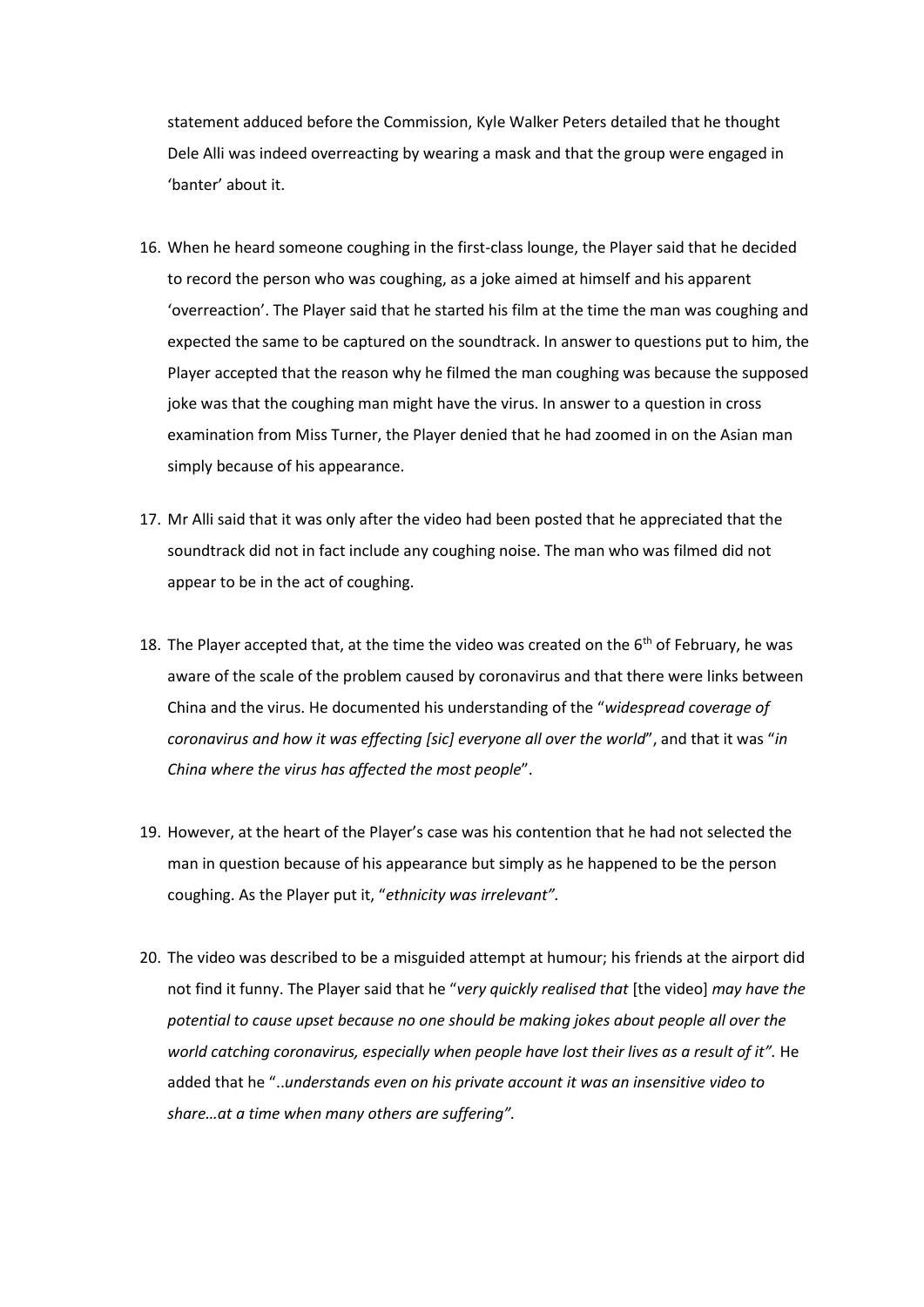statement adduced before the Commission, Kyle Walker Peters detailed that he thought Dele Alli was indeed overreacting by wearing a mask and that the group were engaged in 'banter' about it.

- 16. When he heard someone coughing in the first-class lounge, the Player said that he decided to record the person who was coughing, as a joke aimed at himself and his apparent 'overreaction'. The Player said that he started his film at the time the man was coughing and expected the same to be captured on the soundtrack. In answer to questions put to him, the Player accepted that the reason why he filmed the man coughing was because the supposed joke was that the coughing man might have the virus. In answer to a question in cross examination from Miss Turner, the Player denied that he had zoomed in on the Asian man simply because of his appearance.
- 17. Mr Alli said that it was only after the video had been posted that he appreciated that the soundtrack did not in fact include any coughing noise. The man who was filmed did not appear to be in the act of coughing.
- 18. The Player accepted that, at the time the video was created on the  $6<sup>th</sup>$  of February, he was aware of the scale of the problem caused by coronavirus and that there were links between China and the virus. He documented his understanding of the "*widespread coverage of coronavirus and how it was effecting [sic] everyone all over the world*", and that it was "*in China where the virus has affected the most people*".
- 19. However, at the heart of the Player's case was his contention that he had not selected the man in question because of his appearance but simply as he happened to be the person coughing. As the Player put it, "*ethnicity was irrelevant".*
- 20. The video was described to be a misguided attempt at humour; his friends at the airport did not find it funny. The Player said that he "*very quickly realised that* [the video] *may have the potential to cause upset because no one should be making jokes about people all over the world catching coronavirus, especially when people have lost their lives as a result of it".* He added that he "..*understands even on his private account it was an insensitive video to share…at a time when many others are suffering".*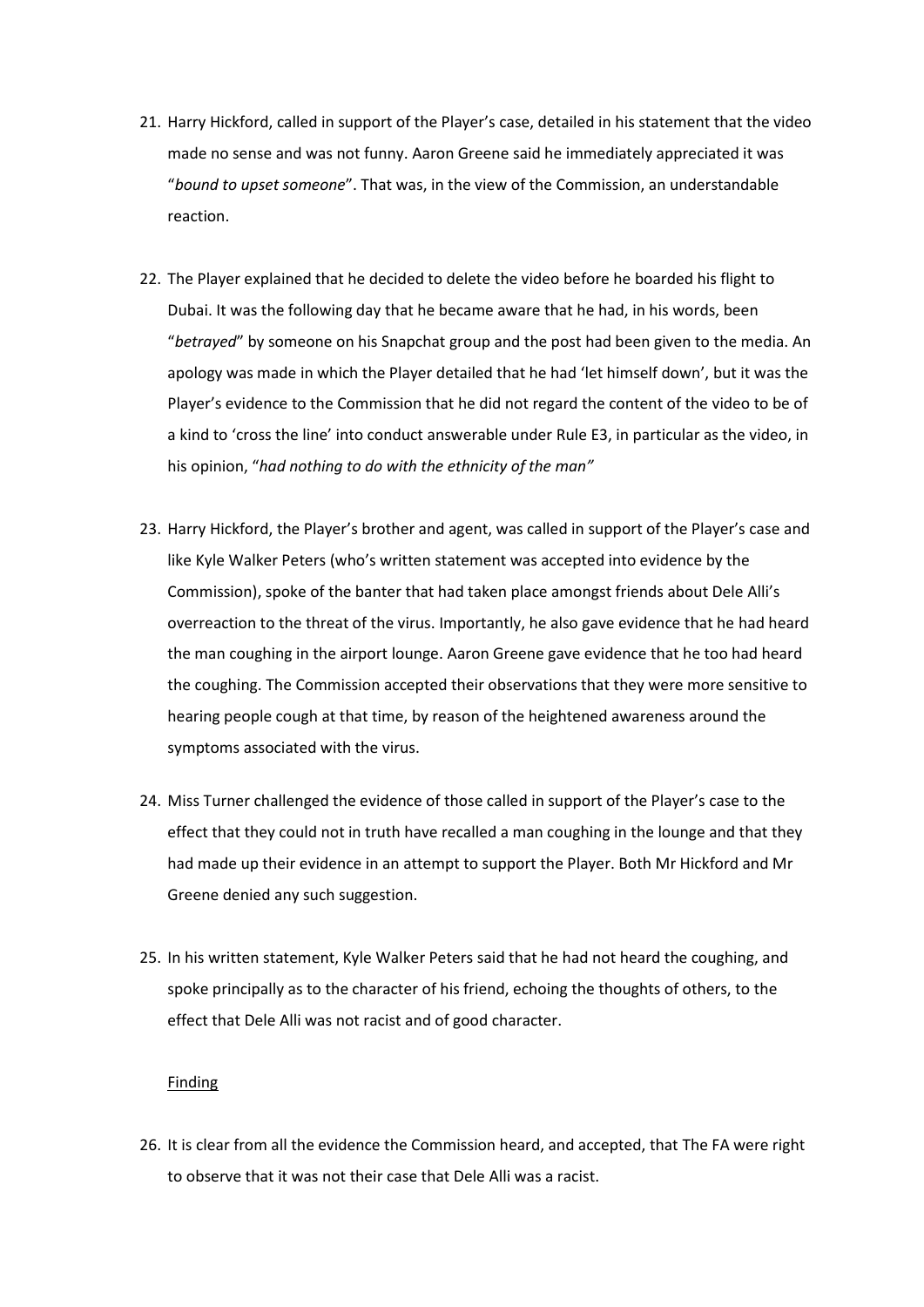- 21. Harry Hickford, called in support of the Player's case, detailed in his statement that the video made no sense and was not funny. Aaron Greene said he immediately appreciated it was "*bound to upset someone*". That was, in the view of the Commission, an understandable reaction.
- 22. The Player explained that he decided to delete the video before he boarded his flight to Dubai. It was the following day that he became aware that he had, in his words, been "*betrayed*" by someone on his Snapchat group and the post had been given to the media. An apology was made in which the Player detailed that he had 'let himself down', but it was the Player's evidence to the Commission that he did not regard the content of the video to be of a kind to 'cross the line' into conduct answerable under Rule E3, in particular as the video, in his opinion, "*had nothing to do with the ethnicity of the man"*
- 23. Harry Hickford, the Player's brother and agent, was called in support of the Player's case and like Kyle Walker Peters (who's written statement was accepted into evidence by the Commission), spoke of the banter that had taken place amongst friends about Dele Alli's overreaction to the threat of the virus. Importantly, he also gave evidence that he had heard the man coughing in the airport lounge. Aaron Greene gave evidence that he too had heard the coughing. The Commission accepted their observations that they were more sensitive to hearing people cough at that time, by reason of the heightened awareness around the symptoms associated with the virus.
- 24. Miss Turner challenged the evidence of those called in support of the Player's case to the effect that they could not in truth have recalled a man coughing in the lounge and that they had made up their evidence in an attempt to support the Player. Both Mr Hickford and Mr Greene denied any such suggestion.
- 25. In his written statement, Kyle Walker Peters said that he had not heard the coughing, and spoke principally as to the character of his friend, echoing the thoughts of others, to the effect that Dele Alli was not racist and of good character.

#### Finding

26. It is clear from all the evidence the Commission heard, and accepted, that The FA were right to observe that it was not their case that Dele Alli was a racist.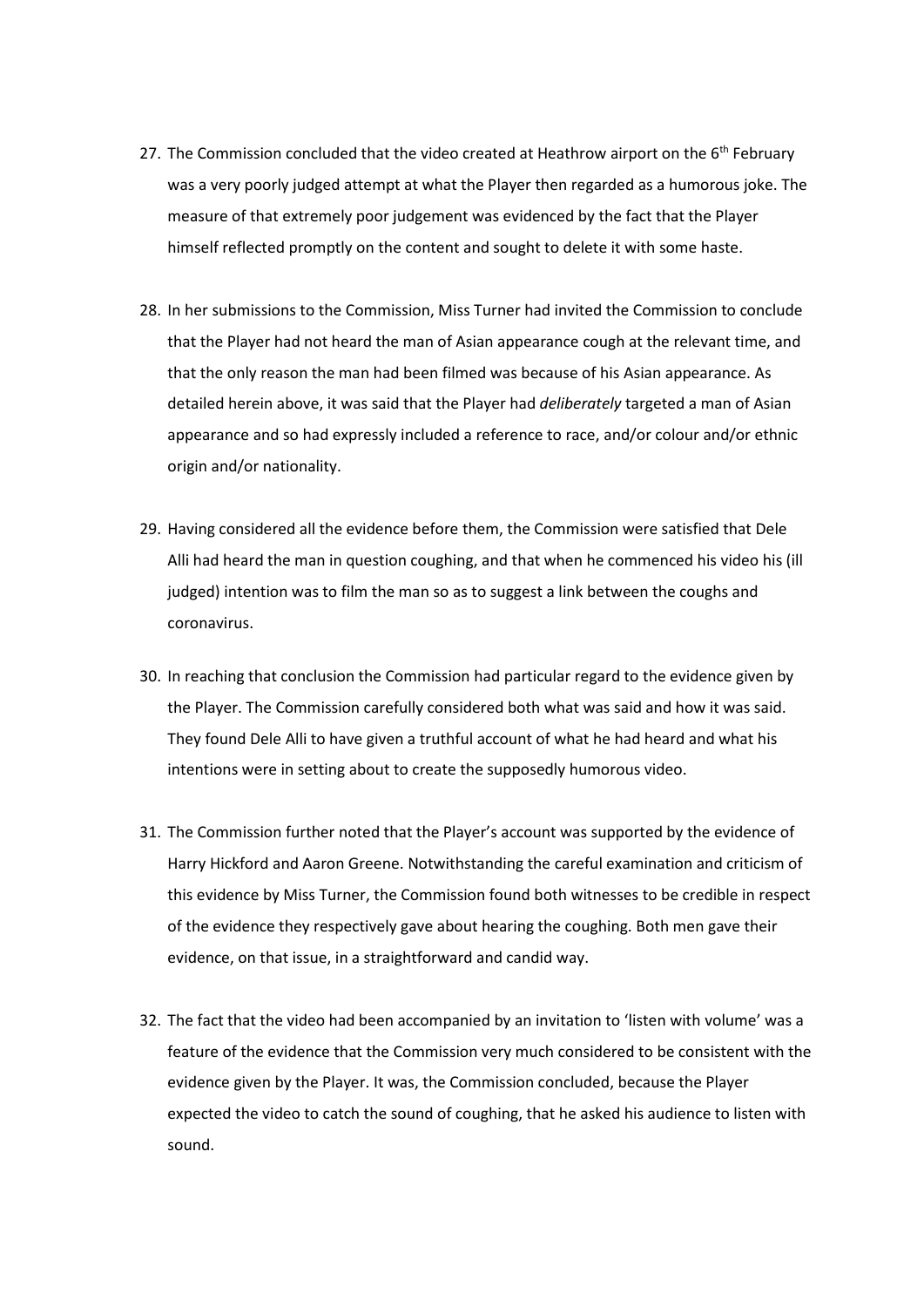- 27. The Commission concluded that the video created at Heathrow airport on the  $6<sup>th</sup>$  February was a very poorly judged attempt at what the Player then regarded as a humorous joke. The measure of that extremely poor judgement was evidenced by the fact that the Player himself reflected promptly on the content and sought to delete it with some haste.
- 28. In her submissions to the Commission, Miss Turner had invited the Commission to conclude that the Player had not heard the man of Asian appearance cough at the relevant time, and that the only reason the man had been filmed was because of his Asian appearance. As detailed herein above, it was said that the Player had *deliberately* targeted a man of Asian appearance and so had expressly included a reference to race, and/or colour and/or ethnic origin and/or nationality.
- 29. Having considered all the evidence before them, the Commission were satisfied that Dele Alli had heard the man in question coughing, and that when he commenced his video his (ill judged) intention was to film the man so as to suggest a link between the coughs and coronavirus.
- 30. In reaching that conclusion the Commission had particular regard to the evidence given by the Player. The Commission carefully considered both what was said and how it was said. They found Dele Alli to have given a truthful account of what he had heard and what his intentions were in setting about to create the supposedly humorous video.
- 31. The Commission further noted that the Player's account was supported by the evidence of Harry Hickford and Aaron Greene. Notwithstanding the careful examination and criticism of this evidence by Miss Turner, the Commission found both witnesses to be credible in respect of the evidence they respectively gave about hearing the coughing. Both men gave their evidence, on that issue, in a straightforward and candid way.
- 32. The fact that the video had been accompanied by an invitation to 'listen with volume' was a feature of the evidence that the Commission very much considered to be consistent with the evidence given by the Player. It was, the Commission concluded, because the Player expected the video to catch the sound of coughing, that he asked his audience to listen with sound.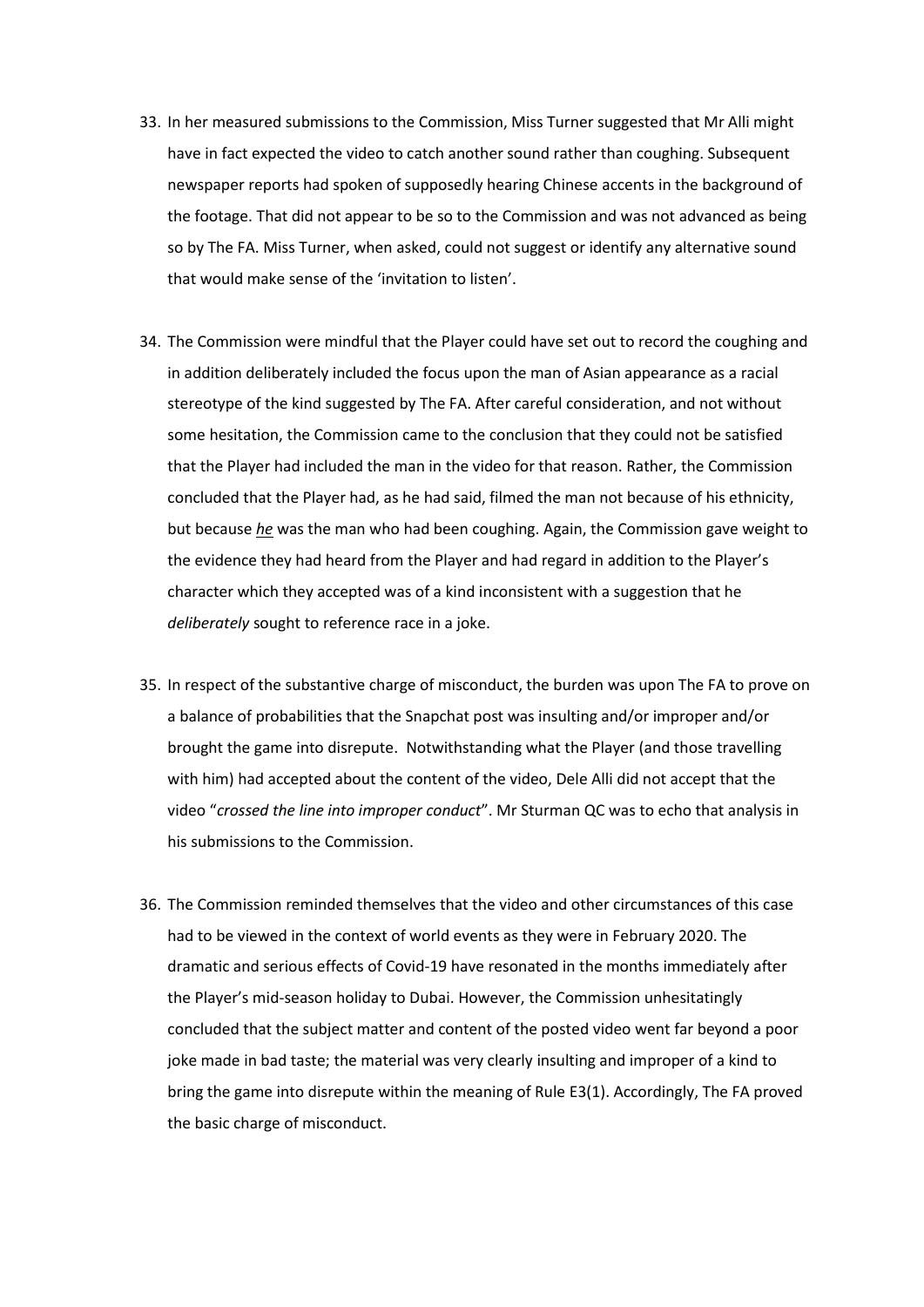- 33. In her measured submissions to the Commission, Miss Turner suggested that Mr Alli might have in fact expected the video to catch another sound rather than coughing. Subsequent newspaper reports had spoken of supposedly hearing Chinese accents in the background of the footage. That did not appear to be so to the Commission and was not advanced as being so by The FA. Miss Turner, when asked, could not suggest or identify any alternative sound that would make sense of the 'invitation to listen'.
- 34. The Commission were mindful that the Player could have set out to record the coughing and in addition deliberately included the focus upon the man of Asian appearance as a racial stereotype of the kind suggested by The FA. After careful consideration, and not without some hesitation, the Commission came to the conclusion that they could not be satisfied that the Player had included the man in the video for that reason. Rather, the Commission concluded that the Player had, as he had said, filmed the man not because of his ethnicity, but because *he* was the man who had been coughing. Again, the Commission gave weight to the evidence they had heard from the Player and had regard in addition to the Player's character which they accepted was of a kind inconsistent with a suggestion that he *deliberately* sought to reference race in a joke.
- 35. In respect of the substantive charge of misconduct, the burden was upon The FA to prove on a balance of probabilities that the Snapchat post was insulting and/or improper and/or brought the game into disrepute. Notwithstanding what the Player (and those travelling with him) had accepted about the content of the video, Dele Alli did not accept that the video "*crossed the line into improper conduct*". Mr Sturman QC was to echo that analysis in his submissions to the Commission.
- 36. The Commission reminded themselves that the video and other circumstances of this case had to be viewed in the context of world events as they were in February 2020. The dramatic and serious effects of Covid-19 have resonated in the months immediately after the Player's mid-season holiday to Dubai. However, the Commission unhesitatingly concluded that the subject matter and content of the posted video went far beyond a poor joke made in bad taste; the material was very clearly insulting and improper of a kind to bring the game into disrepute within the meaning of Rule E3(1). Accordingly, The FA proved the basic charge of misconduct.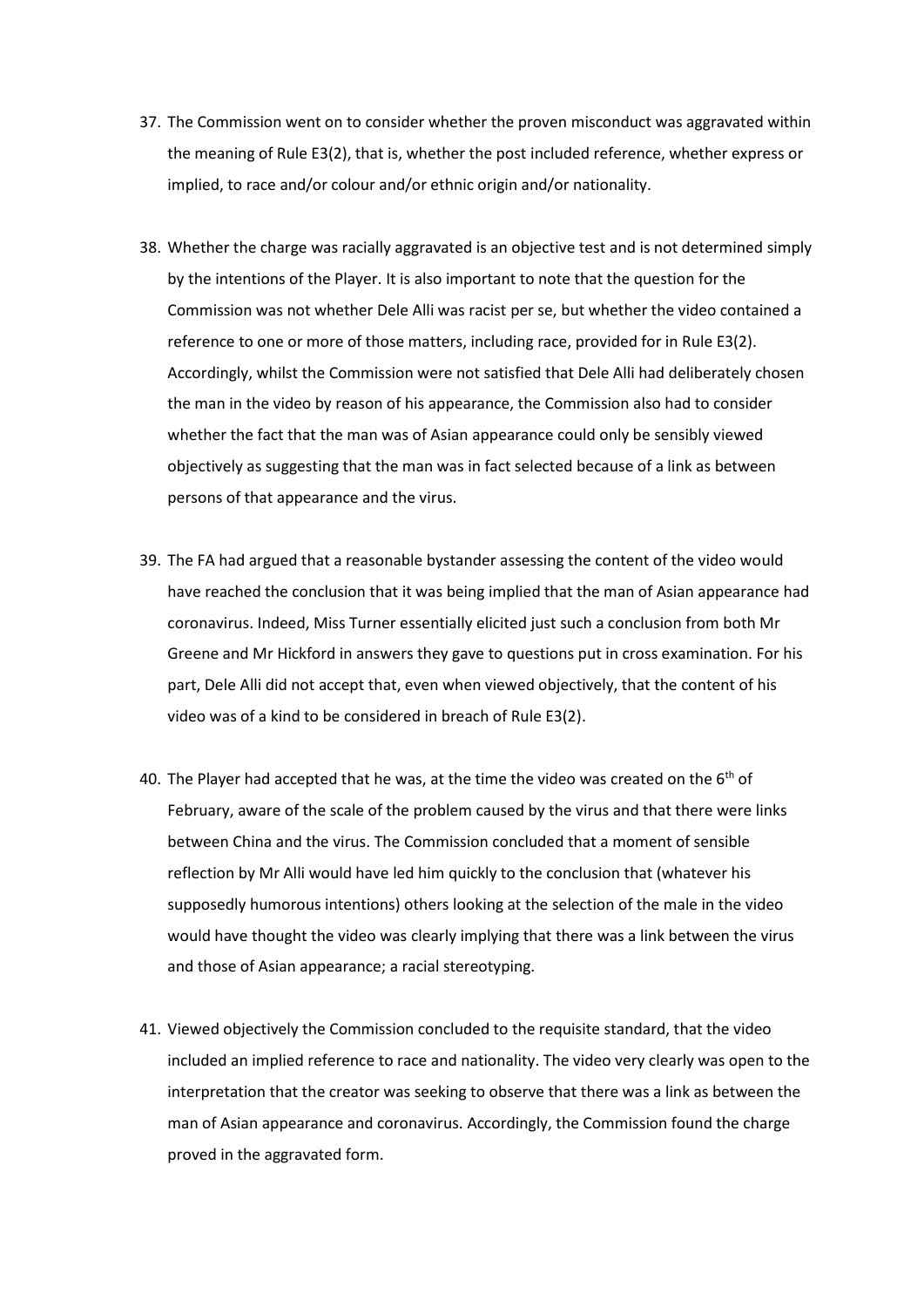- 37. The Commission went on to consider whether the proven misconduct was aggravated within the meaning of Rule E3(2), that is, whether the post included reference, whether express or implied, to race and/or colour and/or ethnic origin and/or nationality.
- 38. Whether the charge was racially aggravated is an objective test and is not determined simply by the intentions of the Player. It is also important to note that the question for the Commission was not whether Dele Alli was racist per se, but whether the video contained a reference to one or more of those matters, including race, provided for in Rule E3(2). Accordingly, whilst the Commission were not satisfied that Dele Alli had deliberately chosen the man in the video by reason of his appearance, the Commission also had to consider whether the fact that the man was of Asian appearance could only be sensibly viewed objectively as suggesting that the man was in fact selected because of a link as between persons of that appearance and the virus.
- 39. The FA had argued that a reasonable bystander assessing the content of the video would have reached the conclusion that it was being implied that the man of Asian appearance had coronavirus. Indeed, Miss Turner essentially elicited just such a conclusion from both Mr Greene and Mr Hickford in answers they gave to questions put in cross examination. For his part, Dele Alli did not accept that, even when viewed objectively, that the content of his video was of a kind to be considered in breach of Rule E3(2).
- 40. The Player had accepted that he was, at the time the video was created on the  $6<sup>th</sup>$  of February, aware of the scale of the problem caused by the virus and that there were links between China and the virus. The Commission concluded that a moment of sensible reflection by Mr Alli would have led him quickly to the conclusion that (whatever his supposedly humorous intentions) others looking at the selection of the male in the video would have thought the video was clearly implying that there was a link between the virus and those of Asian appearance; a racial stereotyping.
- 41. Viewed objectively the Commission concluded to the requisite standard, that the video included an implied reference to race and nationality. The video very clearly was open to the interpretation that the creator was seeking to observe that there was a link as between the man of Asian appearance and coronavirus. Accordingly, the Commission found the charge proved in the aggravated form.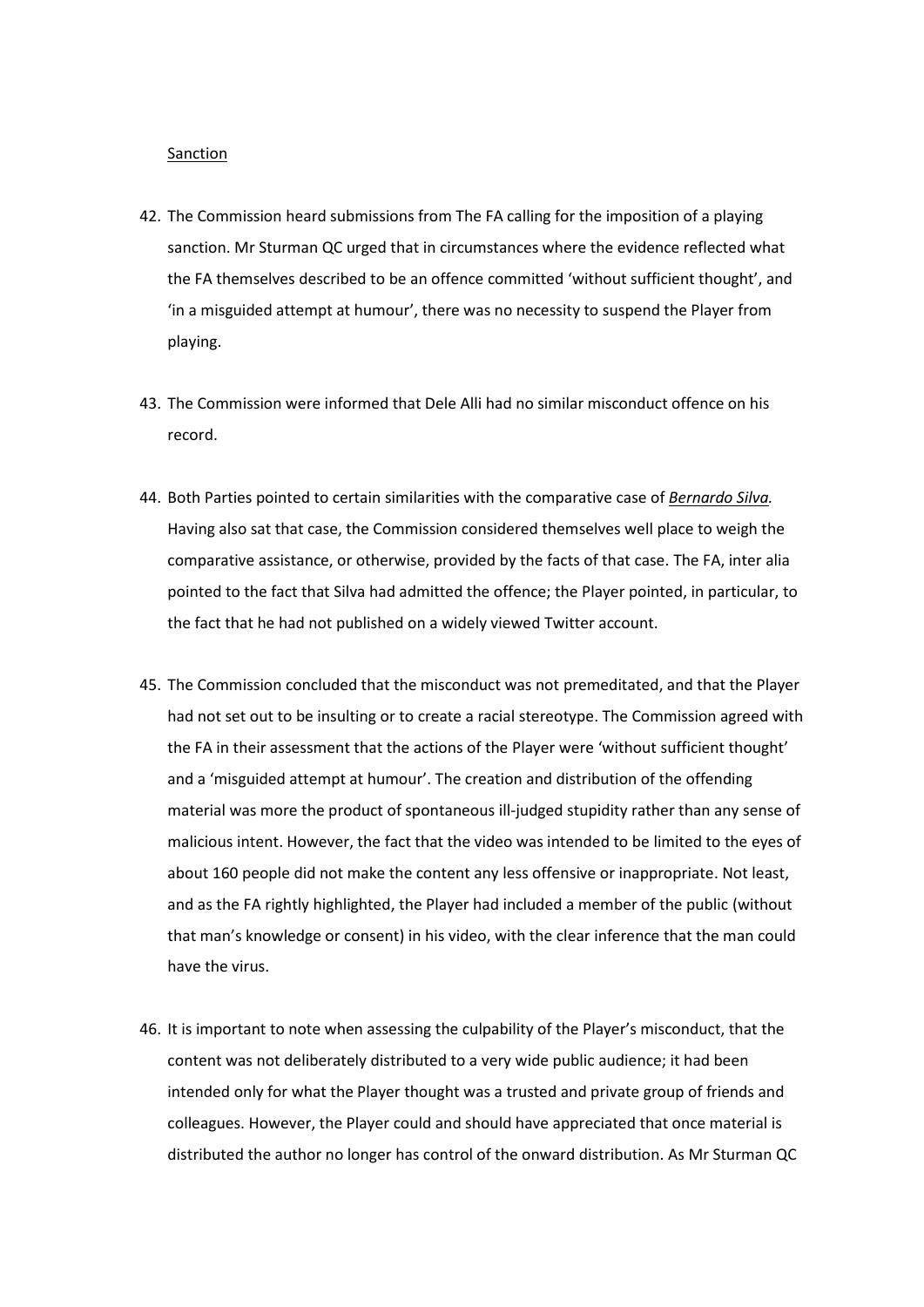#### Sanction

- 42. The Commission heard submissions from The FA calling for the imposition of a playing sanction. Mr Sturman QC urged that in circumstances where the evidence reflected what the FA themselves described to be an offence committed 'without sufficient thought', and 'in a misguided attempt at humour', there was no necessity to suspend the Player from playing.
- 43. The Commission were informed that Dele Alli had no similar misconduct offence on his record.
- 44. Both Parties pointed to certain similarities with the comparative case of *Bernardo Silva.* Having also sat that case, the Commission considered themselves well place to weigh the comparative assistance, or otherwise, provided by the facts of that case. The FA, inter alia pointed to the fact that Silva had admitted the offence; the Player pointed, in particular, to the fact that he had not published on a widely viewed Twitter account.
- 45. The Commission concluded that the misconduct was not premeditated, and that the Player had not set out to be insulting or to create a racial stereotype. The Commission agreed with the FA in their assessment that the actions of the Player were 'without sufficient thought' and a 'misguided attempt at humour'. The creation and distribution of the offending material was more the product of spontaneous ill-judged stupidity rather than any sense of malicious intent. However, the fact that the video was intended to be limited to the eyes of about 160 people did not make the content any less offensive or inappropriate. Not least, and as the FA rightly highlighted, the Player had included a member of the public (without that man's knowledge or consent) in his video, with the clear inference that the man could have the virus.
- 46. It is important to note when assessing the culpability of the Player's misconduct, that the content was not deliberately distributed to a very wide public audience; it had been intended only for what the Player thought was a trusted and private group of friends and colleagues. However, the Player could and should have appreciated that once material is distributed the author no longer has control of the onward distribution. As Mr Sturman QC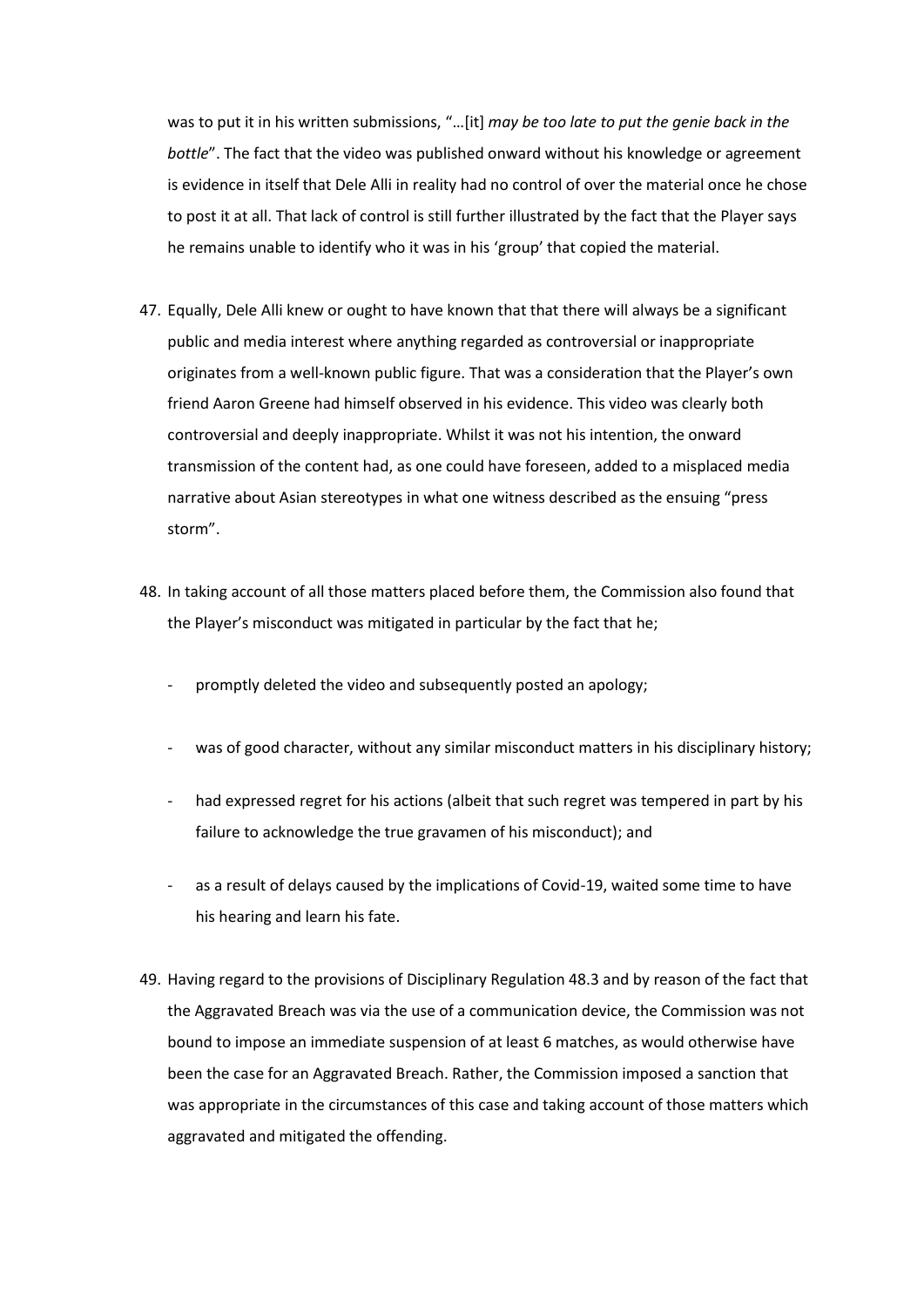was to put it in his written submissions, "…[it] *may be too late to put the genie back in the bottle*". The fact that the video was published onward without his knowledge or agreement is evidence in itself that Dele Alli in reality had no control of over the material once he chose to post it at all. That lack of control is still further illustrated by the fact that the Player says he remains unable to identify who it was in his 'group' that copied the material.

- 47. Equally, Dele Alli knew or ought to have known that that there will always be a significant public and media interest where anything regarded as controversial or inappropriate originates from a well-known public figure. That was a consideration that the Player's own friend Aaron Greene had himself observed in his evidence. This video was clearly both controversial and deeply inappropriate. Whilst it was not his intention, the onward transmission of the content had, as one could have foreseen, added to a misplaced media narrative about Asian stereotypes in what one witness described as the ensuing "press storm".
- 48. In taking account of all those matters placed before them, the Commission also found that the Player's misconduct was mitigated in particular by the fact that he;
	- promptly deleted the video and subsequently posted an apology;
	- was of good character, without any similar misconduct matters in his disciplinary history;
	- had expressed regret for his actions (albeit that such regret was tempered in part by his failure to acknowledge the true gravamen of his misconduct); and
	- as a result of delays caused by the implications of Covid-19, waited some time to have his hearing and learn his fate.
- 49. Having regard to the provisions of Disciplinary Regulation 48.3 and by reason of the fact that the Aggravated Breach was via the use of a communication device, the Commission was not bound to impose an immediate suspension of at least 6 matches, as would otherwise have been the case for an Aggravated Breach. Rather, the Commission imposed a sanction that was appropriate in the circumstances of this case and taking account of those matters which aggravated and mitigated the offending.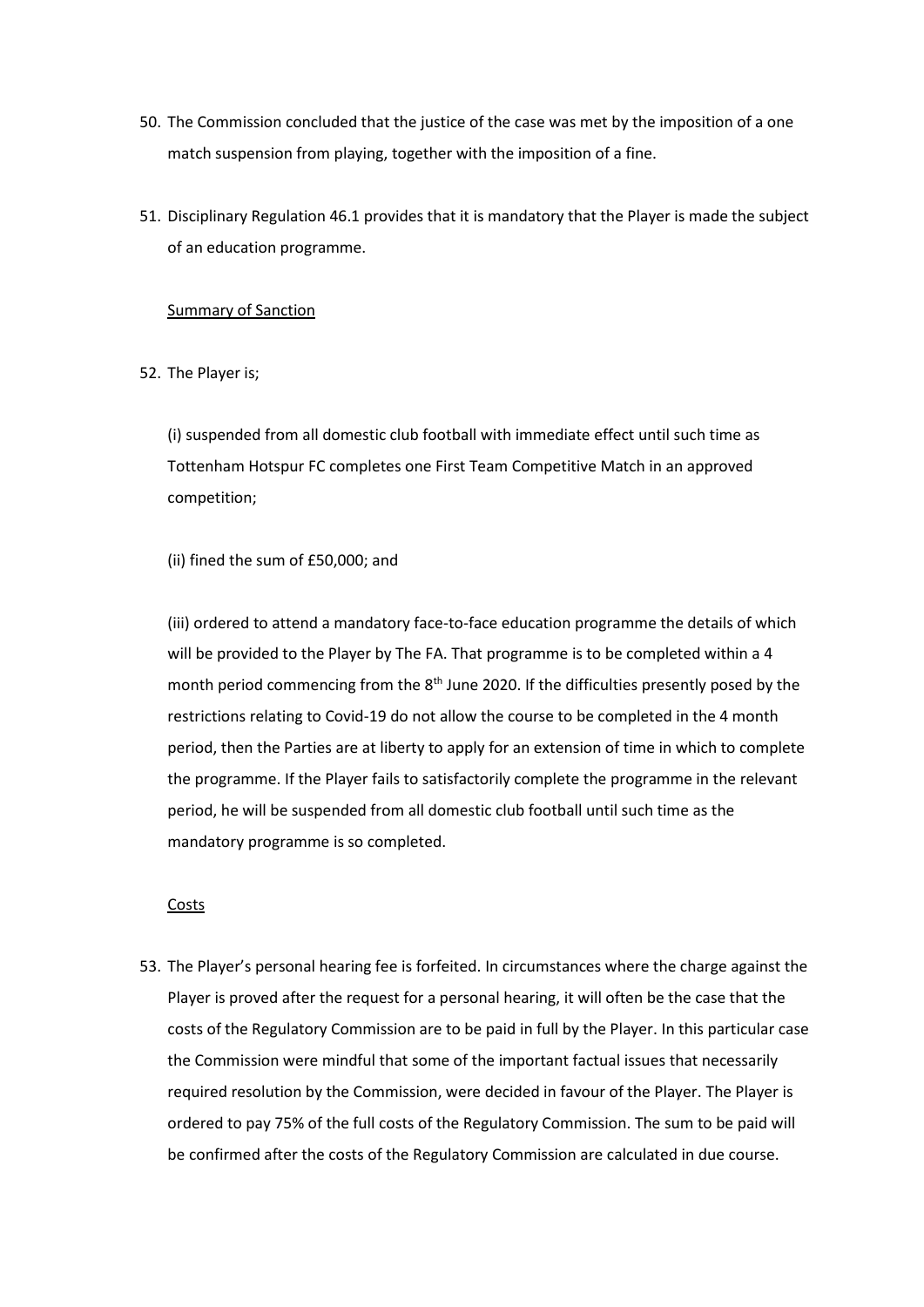- 50. The Commission concluded that the justice of the case was met by the imposition of a one match suspension from playing, together with the imposition of a fine.
- 51. Disciplinary Regulation 46.1 provides that it is mandatory that the Player is made the subject of an education programme.

## Summary of Sanction

52. The Player is;

(i) suspended from all domestic club football with immediate effect until such time as Tottenham Hotspur FC completes one First Team Competitive Match in an approved competition;

(ii) fined the sum of £50,000; and

(iii) ordered to attend a mandatory face-to-face education programme the details of which will be provided to the Player by The FA. That programme is to be completed within a 4 month period commencing from the 8<sup>th</sup> June 2020. If the difficulties presently posed by the restrictions relating to Covid-19 do not allow the course to be completed in the 4 month period, then the Parties are at liberty to apply for an extension of time in which to complete the programme. If the Player fails to satisfactorily complete the programme in the relevant period, he will be suspended from all domestic club football until such time as the mandatory programme is so completed.

**Costs** 

53. The Player's personal hearing fee is forfeited. In circumstances where the charge against the Player is proved after the request for a personal hearing, it will often be the case that the costs of the Regulatory Commission are to be paid in full by the Player. In this particular case the Commission were mindful that some of the important factual issues that necessarily required resolution by the Commission, were decided in favour of the Player. The Player is ordered to pay 75% of the full costs of the Regulatory Commission. The sum to be paid will be confirmed after the costs of the Regulatory Commission are calculated in due course.